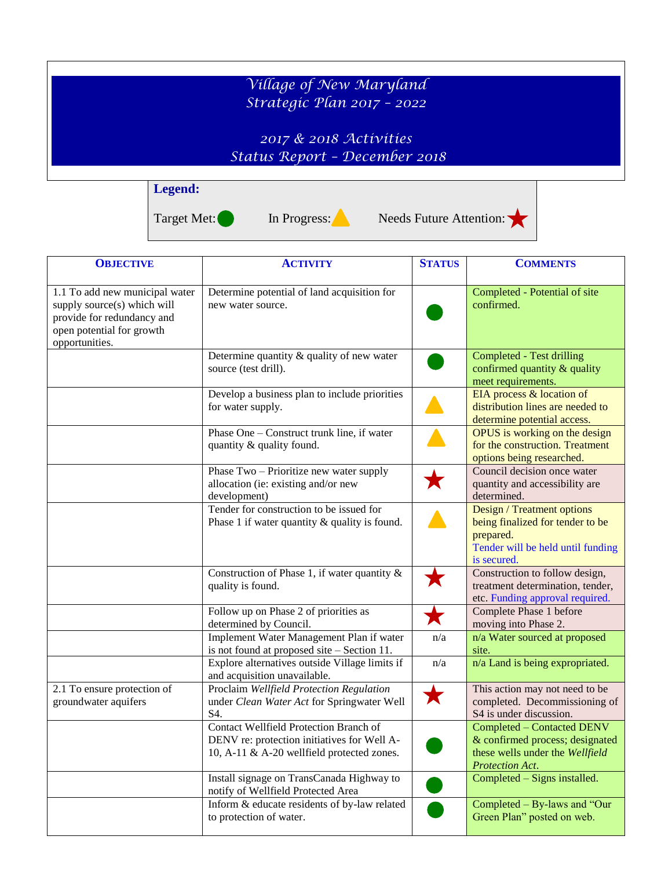## *Village of New Maryland Strategic Plan 2017 – 2022 2017 & 2018 Activities Status Report – December 2018* **Legend:**





*Protection Act*.

Completed – Signs installed.

Completed – By-laws and "Our Green Plan" posted on web.

| <b>OBJECTIVE</b>                                                                                                                           | <b>ACTIVITY</b>                                                                                                                            | <b>STATUS</b> | <b>COMMENTS</b>                                                                                                                 |
|--------------------------------------------------------------------------------------------------------------------------------------------|--------------------------------------------------------------------------------------------------------------------------------------------|---------------|---------------------------------------------------------------------------------------------------------------------------------|
| 1.1 To add new municipal water<br>supply source(s) which will<br>provide for redundancy and<br>open potential for growth<br>opportunities. | Determine potential of land acquisition for<br>new water source.                                                                           |               | Completed - Potential of site<br>confirmed.                                                                                     |
|                                                                                                                                            | Determine quantity & quality of new water<br>source (test drill).                                                                          |               | Completed - Test drilling<br>confirmed quantity & quality<br>meet requirements.                                                 |
|                                                                                                                                            | Develop a business plan to include priorities<br>for water supply.                                                                         |               | EIA process & location of<br>distribution lines are needed to<br>determine potential access.                                    |
|                                                                                                                                            | Phase One – Construct trunk line, if water<br>quantity & quality found.                                                                    |               | OPUS is working on the design<br>for the construction. Treatment<br>options being researched.                                   |
|                                                                                                                                            | Phase Two - Prioritize new water supply<br>allocation (ie: existing and/or new<br>development)                                             |               | Council decision once water<br>quantity and accessibility are<br>determined.                                                    |
|                                                                                                                                            | Tender for construction to be issued for<br>Phase 1 if water quantity $\&$ quality is found.                                               |               | Design / Treatment options<br>being finalized for tender to be<br>prepared.<br>Tender will be held until funding<br>is secured. |
|                                                                                                                                            | Construction of Phase 1, if water quantity $\&$<br>quality is found.                                                                       |               | Construction to follow design,<br>treatment determination, tender,<br>etc. Funding approval required.                           |
|                                                                                                                                            | Follow up on Phase 2 of priorities as<br>determined by Council.                                                                            | Х             | Complete Phase 1 before<br>moving into Phase 2.                                                                                 |
|                                                                                                                                            | Implement Water Management Plan if water<br>is not found at proposed site - Section 11.                                                    | n/a           | n/a Water sourced at proposed<br>site.                                                                                          |
|                                                                                                                                            | Explore alternatives outside Village limits if<br>and acquisition unavailable.                                                             | n/a           | n/a Land is being expropriated.                                                                                                 |
| 2.1 To ensure protection of<br>groundwater aquifers                                                                                        | Proclaim Wellfield Protection Regulation<br>under Clean Water Act for Springwater Well<br>S4.                                              | Х             | This action may not need to be<br>completed. Decommissioning of<br>S4 is under discussion.                                      |
|                                                                                                                                            | <b>Contact Wellfield Protection Branch of</b><br>DENV re: protection initiatives for Well A-<br>10, A-11 & A-20 wellfield protected zones. |               | <b>Completed - Contacted DENV</b><br>& confirmed process; designated<br>these wells under the Wellfield                         |

Install signage on TransCanada Highway to

Inform & educate residents of by-law related

notify of Wellfield Protected Area

to protection of water.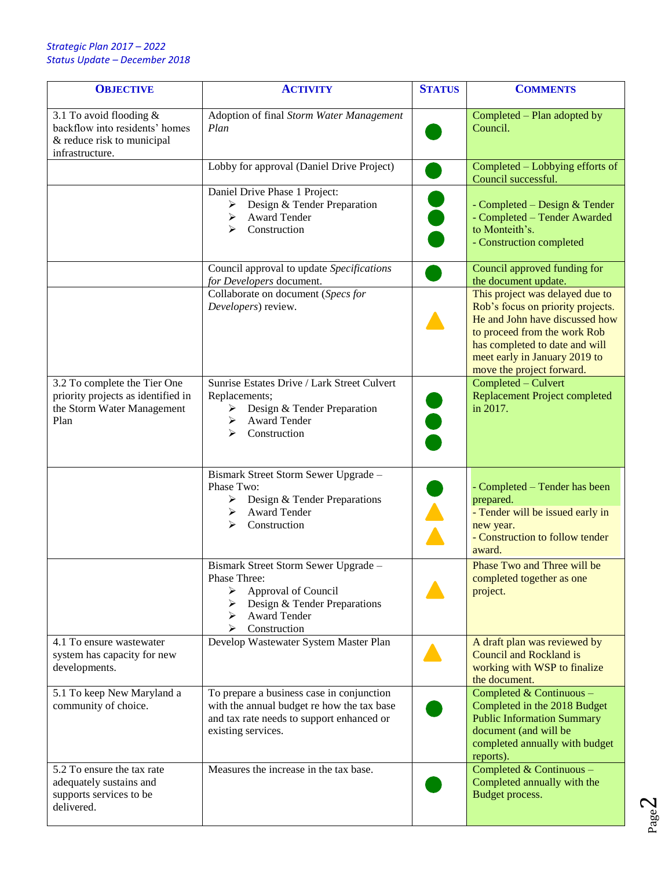## *Strategic Plan 2017 – 2022 Status Update – December 2018*

| <b>OBJECTIVE</b>                                                                                           | <b>ACTIVITY</b>                                                                                                                                                 | <b>STATUS</b> | <b>COMMENTS</b>                                                                                                                                                                                                                        |
|------------------------------------------------------------------------------------------------------------|-----------------------------------------------------------------------------------------------------------------------------------------------------------------|---------------|----------------------------------------------------------------------------------------------------------------------------------------------------------------------------------------------------------------------------------------|
| 3.1 To avoid flooding &<br>backflow into residents' homes<br>& reduce risk to municipal<br>infrastructure. | Adoption of final Storm Water Management<br>Plan                                                                                                                |               | Completed - Plan adopted by<br>Council.                                                                                                                                                                                                |
|                                                                                                            | Lobby for approval (Daniel Drive Project)                                                                                                                       |               | Completed – Lobbying efforts of<br>Council successful.                                                                                                                                                                                 |
|                                                                                                            | Daniel Drive Phase 1 Project:<br>Design & Tender Preparation<br>➤<br>Award Tender<br>➤<br>Construction<br>⋗                                                     |               | - Completed – Design & Tender<br>- Completed - Tender Awarded<br>to Monteith's.<br>- Construction completed                                                                                                                            |
|                                                                                                            | Council approval to update Specifications<br>for Developers document.                                                                                           |               | Council approved funding for<br>the document update.                                                                                                                                                                                   |
|                                                                                                            | Collaborate on document (Specs for<br>Developers) review.                                                                                                       |               | This project was delayed due to<br>Rob's focus on priority projects.<br>He and John have discussed how<br>to proceed from the work Rob<br>has completed to date and will<br>meet early in January 2019 to<br>move the project forward. |
| 3.2 To complete the Tier One<br>priority projects as identified in<br>the Storm Water Management<br>Plan   | Sunrise Estates Drive / Lark Street Culvert<br>Replacements;<br>$\triangleright$ Design & Tender Preparation<br>Award Tender<br>➤<br>Construction<br>⋗          |               | Completed - Culvert<br><b>Replacement Project completed</b><br>in 2017.                                                                                                                                                                |
|                                                                                                            | Bismark Street Storm Sewer Upgrade -<br>Phase Two:<br>Design & Tender Preparations<br>➤<br>Award Tender<br>⋗<br>Construction<br>⋗                               |               | - Completed - Tender has been<br>prepared.<br>- Tender will be issued early in<br>new year.<br>- Construction to follow tender<br>award.                                                                                               |
|                                                                                                            | Bismark Street Storm Sewer Upgrade -<br>Phase Three:<br>Approval of Council<br>➤<br>Design & Tender Preparations<br>➤<br>Award Tender<br>⋗<br>Construction<br>⋗ |               | Phase Two and Three will be<br>completed together as one<br>project.                                                                                                                                                                   |
| 4.1 To ensure wastewater<br>system has capacity for new<br>developments.                                   | Develop Wastewater System Master Plan                                                                                                                           |               | A draft plan was reviewed by<br><b>Council and Rockland is</b><br>working with WSP to finalize<br>the document.                                                                                                                        |
| 5.1 To keep New Maryland a<br>community of choice.                                                         | To prepare a business case in conjunction<br>with the annual budget re how the tax base<br>and tax rate needs to support enhanced or<br>existing services.      |               | Completed & Continuous -<br>Completed in the 2018 Budget<br><b>Public Information Summary</b><br>document (and will be<br>completed annually with budget<br>reports).                                                                  |
| 5.2 To ensure the tax rate<br>adequately sustains and<br>supports services to be<br>delivered.             | Measures the increase in the tax base.                                                                                                                          |               | Completed & Continuous -<br>Completed annually with the<br>Budget process.                                                                                                                                                             |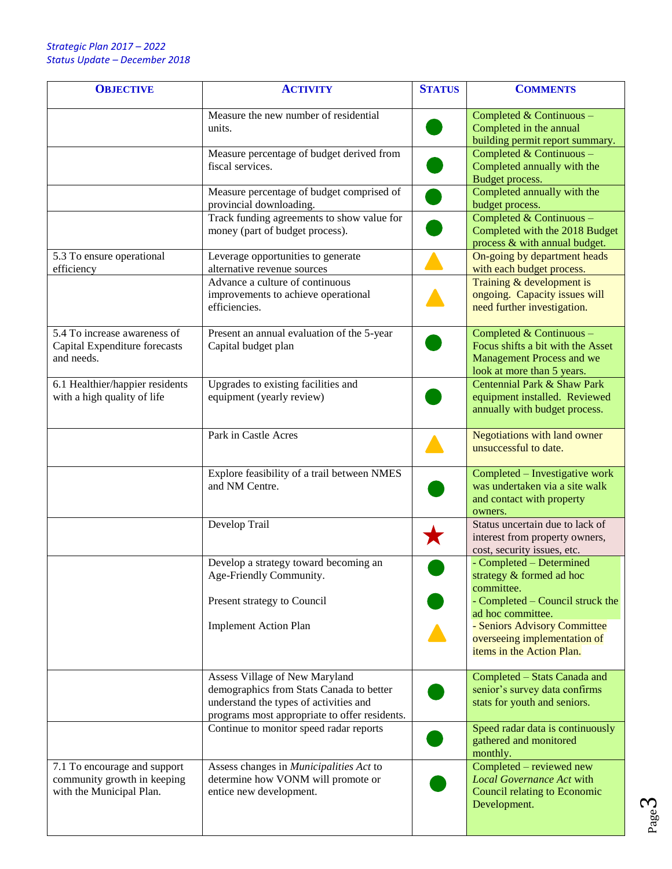| <b>OBJECTIVE</b>                                                                        | <b>ACTIVITY</b>                                                                                                                                                       | <b>STATUS</b> | <b>COMMENTS</b>                                                                                                          |
|-----------------------------------------------------------------------------------------|-----------------------------------------------------------------------------------------------------------------------------------------------------------------------|---------------|--------------------------------------------------------------------------------------------------------------------------|
|                                                                                         | Measure the new number of residential<br>units.                                                                                                                       |               | Completed & Continuous -<br>Completed in the annual<br>building permit report summary.                                   |
|                                                                                         | Measure percentage of budget derived from<br>fiscal services.                                                                                                         |               | Completed & Continuous -<br>Completed annually with the<br>Budget process.                                               |
|                                                                                         | Measure percentage of budget comprised of<br>provincial downloading.                                                                                                  |               | Completed annually with the<br>budget process.                                                                           |
|                                                                                         | Track funding agreements to show value for<br>money (part of budget process).                                                                                         |               | Completed & Continuous -<br>Completed with the 2018 Budget<br>process & with annual budget.                              |
| 5.3 To ensure operational<br>efficiency                                                 | Leverage opportunities to generate<br>alternative revenue sources                                                                                                     |               | On-going by department heads<br>with each budget process.                                                                |
|                                                                                         | Advance a culture of continuous<br>improvements to achieve operational<br>efficiencies.                                                                               |               | Training & development is<br>ongoing. Capacity issues will<br>need further investigation.                                |
| 5.4 To increase awareness of<br>Capital Expenditure forecasts<br>and needs.             | Present an annual evaluation of the 5-year<br>Capital budget plan                                                                                                     |               | Completed & Continuous -<br>Focus shifts a bit with the Asset<br>Management Process and we<br>look at more than 5 years. |
| 6.1 Healthier/happier residents<br>with a high quality of life                          | Upgrades to existing facilities and<br>equipment (yearly review)                                                                                                      |               | Centennial Park & Shaw Park<br>equipment installed. Reviewed<br>annually with budget process.                            |
|                                                                                         | Park in Castle Acres                                                                                                                                                  |               | Negotiations with land owner<br>unsuccessful to date.                                                                    |
|                                                                                         | Explore feasibility of a trail between NMES<br>and NM Centre.                                                                                                         |               | Completed - Investigative work<br>was undertaken via a site walk<br>and contact with property<br>owners.                 |
|                                                                                         | Develop Trail                                                                                                                                                         |               | Status uncertain due to lack of<br>interest from property owners,<br>cost, security issues, etc.                         |
|                                                                                         | Develop a strategy toward becoming an<br>Age-Friendly Community.                                                                                                      |               | - Completed - Determined<br>strategy & formed ad hoc<br>committee.                                                       |
|                                                                                         | Present strategy to Council                                                                                                                                           |               | - Completed – Council struck the<br>ad hoc committee.                                                                    |
|                                                                                         | <b>Implement Action Plan</b>                                                                                                                                          |               | - Seniors Advisory Committee<br>overseeing implementation of<br>items in the Action Plan.                                |
|                                                                                         | Assess Village of New Maryland<br>demographics from Stats Canada to better<br>understand the types of activities and<br>programs most appropriate to offer residents. |               | Completed - Stats Canada and<br>senior's survey data confirms<br>stats for youth and seniors.                            |
|                                                                                         | Continue to monitor speed radar reports                                                                                                                               |               | Speed radar data is continuously<br>gathered and monitored<br>monthly.                                                   |
| 7.1 To encourage and support<br>community growth in keeping<br>with the Municipal Plan. | Assess changes in Municipalities Act to<br>determine how VONM will promote or<br>entice new development.                                                              |               | Completed – reviewed new<br><b>Local Governance Act with</b><br><b>Council relating to Economic</b><br>Development.      |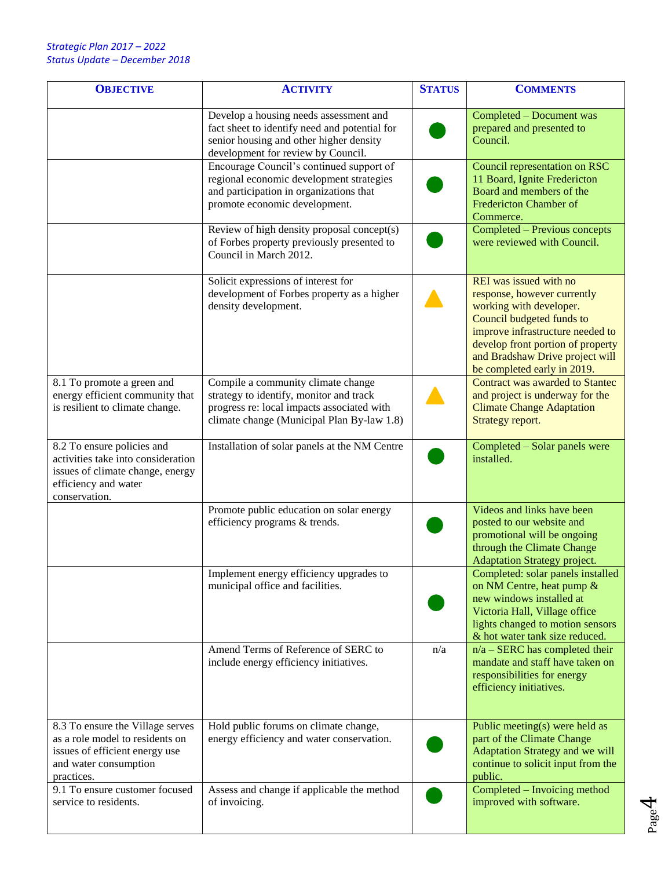| <b>OBJECTIVE</b>                                                                                                                              | <b>ACTIVITY</b>                                                                                                                                                           | <b>STATUS</b> | <b>COMMENTS</b>                                                                                                                                                                                                                                          |
|-----------------------------------------------------------------------------------------------------------------------------------------------|---------------------------------------------------------------------------------------------------------------------------------------------------------------------------|---------------|----------------------------------------------------------------------------------------------------------------------------------------------------------------------------------------------------------------------------------------------------------|
|                                                                                                                                               | Develop a housing needs assessment and<br>fact sheet to identify need and potential for<br>senior housing and other higher density<br>development for review by Council.  |               | Completed - Document was<br>prepared and presented to<br>Council.                                                                                                                                                                                        |
|                                                                                                                                               | Encourage Council's continued support of<br>regional economic development strategies<br>and participation in organizations that<br>promote economic development.          |               | Council representation on RSC<br>11 Board, Ignite Fredericton<br>Board and members of the<br><b>Fredericton Chamber of</b><br>Commerce.                                                                                                                  |
|                                                                                                                                               | Review of high density proposal concept(s)<br>of Forbes property previously presented to<br>Council in March 2012.                                                        |               | Completed - Previous concepts<br>were reviewed with Council.                                                                                                                                                                                             |
|                                                                                                                                               | Solicit expressions of interest for<br>development of Forbes property as a higher<br>density development.                                                                 |               | REI was issued with no<br>response, however currently<br>working with developer.<br>Council budgeted funds to<br>improve infrastructure needed to<br>develop front portion of property<br>and Bradshaw Drive project will<br>be completed early in 2019. |
| 8.1 To promote a green and<br>energy efficient community that<br>is resilient to climate change.                                              | Compile a community climate change<br>strategy to identify, monitor and track<br>progress re: local impacts associated with<br>climate change (Municipal Plan By-law 1.8) |               | Contract was awarded to Stantec<br>and project is underway for the<br><b>Climate Change Adaptation</b><br>Strategy report.                                                                                                                               |
| 8.2 To ensure policies and<br>activities take into consideration<br>issues of climate change, energy<br>efficiency and water<br>conservation. | Installation of solar panels at the NM Centre                                                                                                                             |               | Completed - Solar panels were<br>installed.                                                                                                                                                                                                              |
|                                                                                                                                               | Promote public education on solar energy<br>efficiency programs & trends.                                                                                                 |               | Videos and links have been<br>posted to our website and<br>promotional will be ongoing<br>through the Climate Change<br><b>Adaptation Strategy project.</b>                                                                                              |
|                                                                                                                                               | Implement energy efficiency upgrades to<br>municipal office and facilities.                                                                                               |               | Completed: solar panels installed<br>on NM Centre, heat pump &<br>new windows installed at<br>Victoria Hall, Village office<br>lights changed to motion sensors<br>& hot water tank size reduced.                                                        |
|                                                                                                                                               | Amend Terms of Reference of SERC to<br>include energy efficiency initiatives.                                                                                             | n/a           | $n/a - SERC$ has completed their<br>mandate and staff have taken on<br>responsibilities for energy<br>efficiency initiatives.                                                                                                                            |
| 8.3 To ensure the Village serves<br>as a role model to residents on<br>issues of efficient energy use<br>and water consumption<br>practices.  | Hold public forums on climate change,<br>energy efficiency and water conservation.                                                                                        |               | Public meeting(s) were held as<br>part of the Climate Change<br>Adaptation Strategy and we will<br>continue to solicit input from the<br>public.                                                                                                         |
| 9.1 To ensure customer focused<br>service to residents.                                                                                       | Assess and change if applicable the method<br>of invoicing.                                                                                                               |               | Completed - Invoicing method<br>improved with software.                                                                                                                                                                                                  |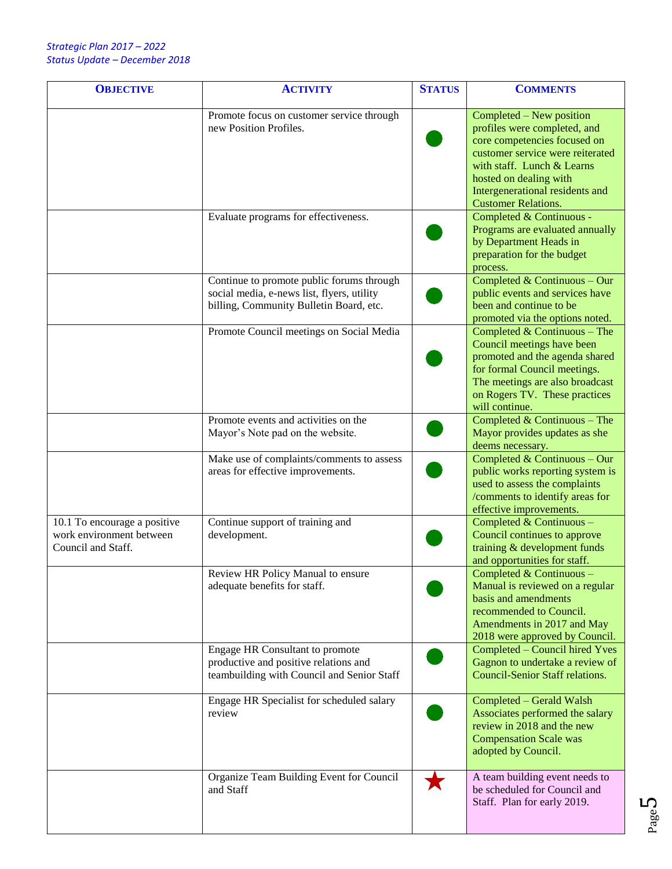| <b>OBJECTIVE</b>                                                               | <b>ACTIVITY</b>                                                                                                                    | <b>STATUS</b> | <b>COMMENTS</b>                                                                                                                                                                                                                                       |
|--------------------------------------------------------------------------------|------------------------------------------------------------------------------------------------------------------------------------|---------------|-------------------------------------------------------------------------------------------------------------------------------------------------------------------------------------------------------------------------------------------------------|
|                                                                                | Promote focus on customer service through<br>new Position Profiles.                                                                |               | Completed – New position<br>profiles were completed, and<br>core competencies focused on<br>customer service were reiterated<br>with staff. Lunch & Learns<br>hosted on dealing with<br>Intergenerational residents and<br><b>Customer Relations.</b> |
|                                                                                | Evaluate programs for effectiveness.                                                                                               |               | Completed & Continuous -<br>Programs are evaluated annually<br>by Department Heads in<br>preparation for the budget<br>process.                                                                                                                       |
|                                                                                | Continue to promote public forums through<br>social media, e-news list, flyers, utility<br>billing, Community Bulletin Board, etc. |               | Completed & Continuous - Our<br>public events and services have<br>been and continue to be<br>promoted via the options noted.                                                                                                                         |
|                                                                                | Promote Council meetings on Social Media                                                                                           |               | Completed & Continuous - The<br>Council meetings have been<br>promoted and the agenda shared<br>for formal Council meetings.<br>The meetings are also broadcast<br>on Rogers TV. These practices<br>will continue.                                    |
|                                                                                | Promote events and activities on the<br>Mayor's Note pad on the website.                                                           |               | Completed & Continuous - The<br>Mayor provides updates as she<br>deems necessary.                                                                                                                                                                     |
|                                                                                | Make use of complaints/comments to assess<br>areas for effective improvements.                                                     |               | Completed & Continuous - Our<br>public works reporting system is<br>used to assess the complaints<br>/comments to identify areas for<br>effective improvements.                                                                                       |
| 10.1 To encourage a positive<br>work environment between<br>Council and Staff. | Continue support of training and<br>development.                                                                                   |               | Completed & Continuous -<br>Council continues to approve<br>training & development funds<br>and opportunities for staff.                                                                                                                              |
|                                                                                | Review HR Policy Manual to ensure<br>adequate benefits for staff.                                                                  |               | Completed & Continuous<br>Manual is reviewed on a regular<br>basis and amendments<br>recommended to Council.<br>Amendments in 2017 and May<br>2018 were approved by Council.                                                                          |
|                                                                                | Engage HR Consultant to promote<br>productive and positive relations and<br>teambuilding with Council and Senior Staff             |               | Completed - Council hired Yves<br>Gagnon to undertake a review of<br><b>Council-Senior Staff relations.</b>                                                                                                                                           |
|                                                                                | Engage HR Specialist for scheduled salary<br>review                                                                                |               | Completed - Gerald Walsh<br>Associates performed the salary<br>review in 2018 and the new<br><b>Compensation Scale was</b><br>adopted by Council.                                                                                                     |
|                                                                                | Organize Team Building Event for Council<br>and Staff                                                                              |               | A team building event needs to<br>be scheduled for Council and<br>Staff. Plan for early 2019.                                                                                                                                                         |